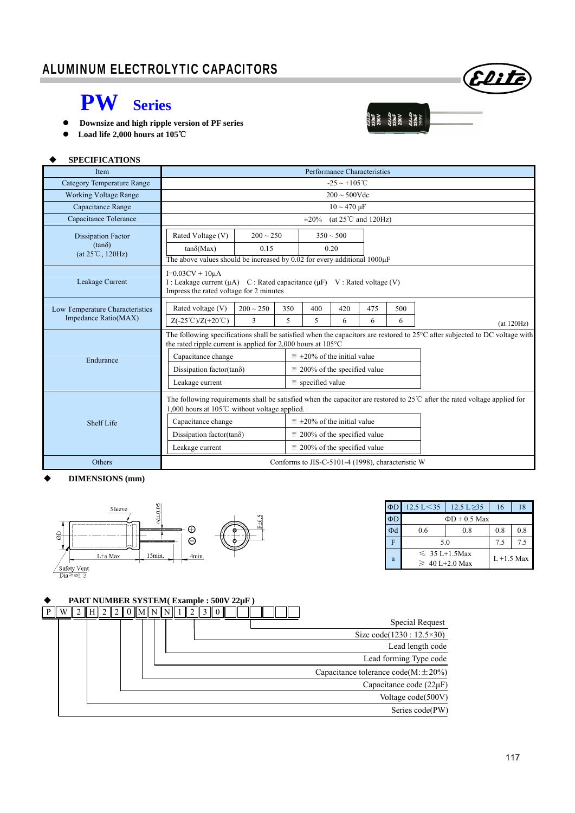

 $\begin{array}{ll} \frac{1}{2} \frac{1}{2} \frac{1}{2} \frac{1}{2} \frac{1}{2} \frac{1}{2} \frac{1}{2} \frac{1}{2} \frac{1}{2} \frac{1}{2} \frac{1}{2} \frac{1}{2} \frac{1}{2} \frac{1}{2} \frac{1}{2} \frac{1}{2} \frac{1}{2} \frac{1}{2} \frac{1}{2} \frac{1}{2} \frac{1}{2} \frac{1}{2} \frac{1}{2} \frac{1}{2} \frac{1}{2} \frac{1}{2} \frac{1}{2} \frac{1}{2} \frac{1}{2} \frac{1}{2} \frac{$ 

# **PW Series**

- **Downsize and high ripple version of PF series**
- **Load life 2,000 hours at 105**℃

### **SPECIFICATIONS**

| Item                                                                    | Performance Characteristics                                                                                                                                                                           |                                                                                                                                  |     |                                      |     |                                         |     |             |  |  |
|-------------------------------------------------------------------------|-------------------------------------------------------------------------------------------------------------------------------------------------------------------------------------------------------|----------------------------------------------------------------------------------------------------------------------------------|-----|--------------------------------------|-----|-----------------------------------------|-----|-------------|--|--|
| Category Temperature Range                                              | $-25 \sim +105^{\circ}C$                                                                                                                                                                              |                                                                                                                                  |     |                                      |     |                                         |     |             |  |  |
| <b>Working Voltage Range</b>                                            | $200 \sim 500V$ dc                                                                                                                                                                                    |                                                                                                                                  |     |                                      |     |                                         |     |             |  |  |
| Capacitance Range                                                       |                                                                                                                                                                                                       | $10 \sim 470 \mu F$                                                                                                              |     |                                      |     |                                         |     |             |  |  |
| Capacitance Tolerance                                                   |                                                                                                                                                                                                       |                                                                                                                                  |     | $\pm 20\%$                           |     | (at $25^{\circ}$ C and $120\text{Hz}$ ) |     |             |  |  |
| <b>Dissipation Factor</b><br>$(tan\delta)$<br>$(at 25^{\circ}C, 120Hz)$ | Rated Voltage (V)<br>$200 \sim 250$<br>0.15<br>$tan\delta(Max)$<br>The above values should be increased by $0.02$ for every additional $1000\mu$ F                                                    |                                                                                                                                  |     | $350 \sim 500$<br>0.20               |     |                                         |     |             |  |  |
| Leakage Current                                                         | $I=0.03CV + 10\mu A$                                                                                                                                                                                  | I : Leakage current ( $\mu$ A) C : Rated capacitance ( $\mu$ F) V : Rated voltage (V)<br>Impress the rated voltage for 2 minutes |     |                                      |     |                                         |     |             |  |  |
| Low Temperature Characteristics                                         | Rated voltage (V)                                                                                                                                                                                     | $200 \sim 250$                                                                                                                   | 350 | 400                                  | 420 | 475                                     | 500 |             |  |  |
| Impedance Ratio(MAX)                                                    | $Z(-25^{\circ}\text{C})/Z(+20^{\circ}\text{C})$                                                                                                                                                       | 3                                                                                                                                | 5   | 5                                    | 6   | 6                                       | 6   | (at 120 Hz) |  |  |
|                                                                         | The following specifications shall be satisfied when the capacitors are restored to 25°C after subjected to DC voltage with<br>the rated ripple current is applied for 2,000 hours at $105^{\circ}$ C |                                                                                                                                  |     |                                      |     |                                         |     |             |  |  |
| Endurance                                                               | Capacitance change                                                                                                                                                                                    |                                                                                                                                  |     | $\leq \pm 20\%$ of the initial value |     |                                         |     |             |  |  |
|                                                                         | Dissipation factor(tan $\delta$ )                                                                                                                                                                     |                                                                                                                                  |     | $\leq$ 200% of the specified value   |     |                                         |     |             |  |  |
|                                                                         | Leakage current                                                                                                                                                                                       |                                                                                                                                  |     | $\le$ specified value                |     |                                         |     |             |  |  |
|                                                                         | The following requirements shall be satisfied when the capacitor are restored to $25^{\circ}$ after the rated voltage applied for<br>1,000 hours at 105 $\degree$ C without voltage applied.          |                                                                                                                                  |     |                                      |     |                                         |     |             |  |  |
| Shelf Life                                                              | Capacitance change                                                                                                                                                                                    |                                                                                                                                  |     | $\leq \pm 20\%$ of the initial value |     |                                         |     |             |  |  |
|                                                                         | Dissipation factor(tan $\delta$ )                                                                                                                                                                     |                                                                                                                                  |     | $\leq$ 200% of the specified value   |     |                                         |     |             |  |  |
|                                                                         | Leakage current                                                                                                                                                                                       |                                                                                                                                  |     | $\leq$ 200% of the specified value   |     |                                         |     |             |  |  |
| Others                                                                  | Conforms to JIS-C-5101-4 (1998), characteristic W                                                                                                                                                     |                                                                                                                                  |     |                                      |     |                                         |     |             |  |  |

### **DIMENSIONS (mm)**



| ΦD | $12.5 \text{ L} < 35$                     | 12.5 L $\geq$ 35 | 16            | 18  |  |  |
|----|-------------------------------------------|------------------|---------------|-----|--|--|
| ΦD | $\Phi D + 0.5$ Max                        |                  |               |     |  |  |
| Φd | 0.6                                       | 0.8              | 0.8           | 0.8 |  |  |
| F  | 5.0                                       | 7.5              | 7.5           |     |  |  |
| a  | $\leq 35$ L+1.5Max<br>$\geq 40$ L+2.0 Max |                  | $L + 1.5$ Max |     |  |  |

## **PART NUMBER SYSTEM( Example : 500V 22µF )**